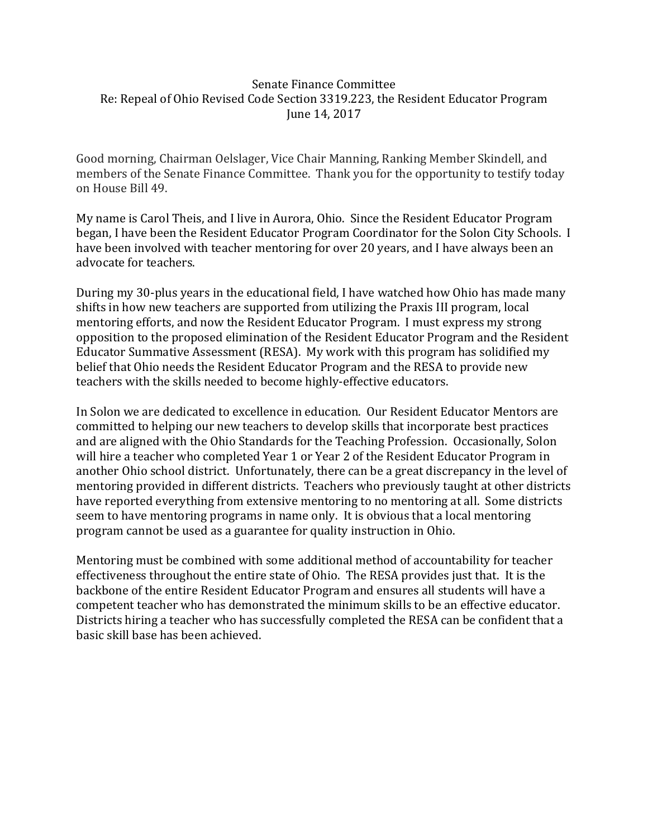## Senate Finance Committee Re: Repeal of Ohio Revised Code Section 3319.223, the Resident Educator Program June 14, 2017

Good morning, Chairman Oelslager, Vice Chair Manning, Ranking Member Skindell, and members of the Senate Finance Committee. Thank you for the opportunity to testify today on House Bill 49.

My name is Carol Theis, and I live in Aurora, Ohio. Since the Resident Educator Program began, I have been the Resident Educator Program Coordinator for the Solon City Schools. I have been involved with teacher mentoring for over 20 years, and I have always been an advocate for teachers.

During my 30-plus years in the educational field, I have watched how Ohio has made many shifts in how new teachers are supported from utilizing the Praxis III program, local mentoring efforts, and now the Resident Educator Program. I must express my strong opposition to the proposed elimination of the Resident Educator Program and the Resident Educator Summative Assessment (RESA). My work with this program has solidified my belief that Ohio needs the Resident Educator Program and the RESA to provide new teachers with the skills needed to become highly-effective educators.

In Solon we are dedicated to excellence in education. Our Resident Educator Mentors are committed to helping our new teachers to develop skills that incorporate best practices and are aligned with the Ohio Standards for the Teaching Profession. Occasionally, Solon will hire a teacher who completed Year 1 or Year 2 of the Resident Educator Program in another Ohio school district. Unfortunately, there can be a great discrepancy in the level of mentoring provided in different districts. Teachers who previously taught at other districts have reported everything from extensive mentoring to no mentoring at all. Some districts seem to have mentoring programs in name only. It is obvious that a local mentoring program cannot be used as a guarantee for quality instruction in Ohio.

Mentoring must be combined with some additional method of accountability for teacher effectiveness throughout the entire state of Ohio. The RESA provides just that. It is the backbone of the entire Resident Educator Program and ensures all students will have a competent teacher who has demonstrated the minimum skills to be an effective educator. Districts hiring a teacher who has successfully completed the RESA can be confident that a basic skill base has been achieved.